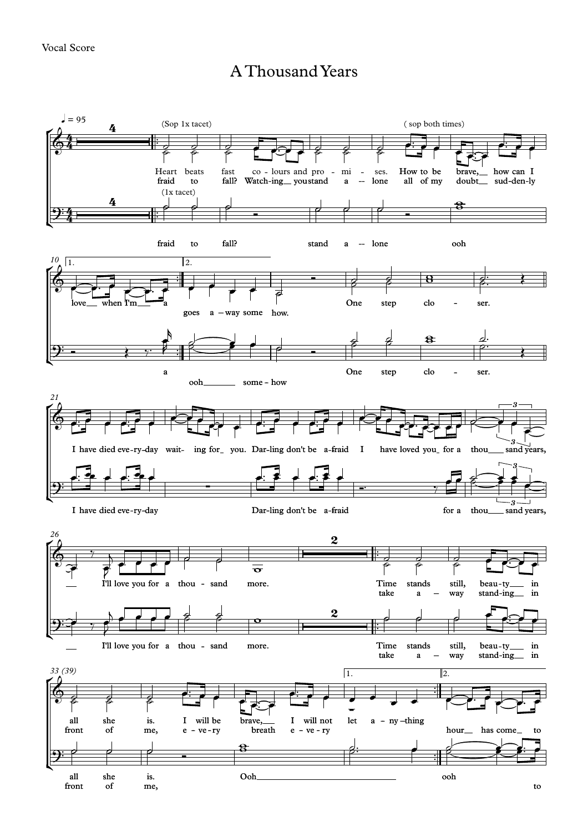## A ThousandYears